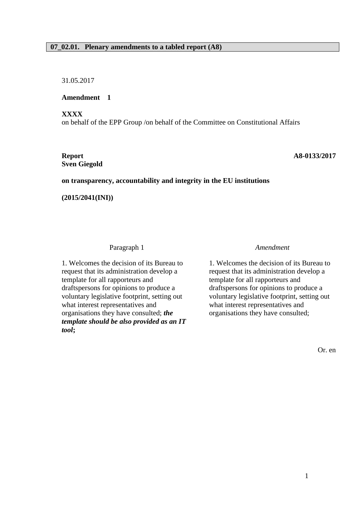# **07\_02.01. Plenary amendments to a tabled report (A8)**

31.05.2017

**Amendment 1**

**XXXX**

on behalf of the EPP Group /on behalf of the Committee on Constitutional Affairs

# **Sven Giegold**

**Report A8-0133/2017**

#### **on transparency, accountability and integrity in the EU institutions**

**(2015/2041(INI))**

Paragraph 1 *Amendment*

1. Welcomes the decision of its Bureau to request that its administration develop a template for all rapporteurs and draftspersons for opinions to produce a voluntary legislative footprint, setting out what interest representatives and organisations they have consulted; *the template should be also provided as an IT tool***;**

1. Welcomes the decision of its Bureau to request that its administration develop a template for all rapporteurs and draftspersons for opinions to produce a voluntary legislative footprint, setting out what interest representatives and organisations they have consulted;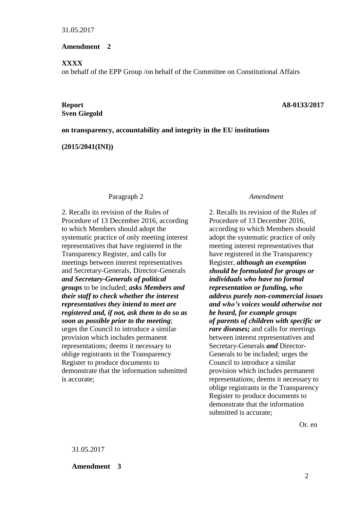## **Amendment 2**

# **XXXX**

on behalf of the EPP Group /on behalf of the Committee on Constitutional Affairs

# **Sven Giegold**

#### **Report A8-0133/2017**

## **on transparency, accountability and integrity in the EU institutions**

**(2015/2041(INI))**

#### Paragraph 2 *Amendment*

2. Recalls its revision of the Rules of Procedure of 13 December 2016, according to which Members should adopt the systematic practice of only meeting interest representatives that have registered in the Transparency Register, and calls for meetings between interest representatives and Secretary-Generals, Director-Generals *and Secretary-Generals of political groups* to be included; *asks Members and their staff to check whether the interest representatives they intend to meet are registered and, if not, ask them to do so as soon as possible prior to the meeting*; urges the Council to introduce a similar provision which includes permanent representations; deems it necessary to oblige registrants in the Transparency Register to produce documents to demonstrate that the information submitted is accurate;

2. Recalls its revision of the Rules of Procedure of 13 December 2016, according to which Members should adopt the systematic practice of only meeting interest representatives that have registered in the Transparency Register, *although an exemption should be formulated for groups or individuals who have no formal representation or funding, who address purely non-commercial issues and who's voices would otherwise not be heard, for example groups of parents of children with specific or rare diseases;* and calls for meetings between interest representatives and Secretary-Generals *and* Director-Generals to be included; urges the Council to introduce a similar provision which includes permanent representations; deems it necessary to oblige registrants in the Transparency Register to produce documents to demonstrate that the information submitted is accurate;

Or. en

31.05.2017

**Amendment 3**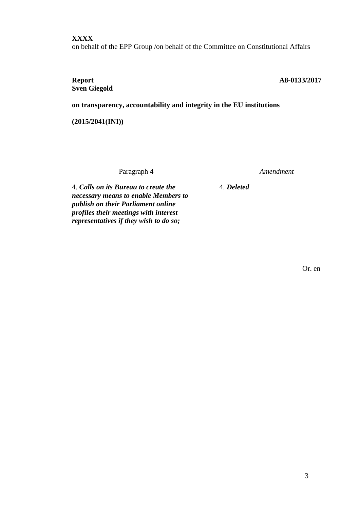# **XXXX**

on behalf of the EPP Group /on behalf of the Committee on Constitutional Affairs

# **Sven Giegold**

## **Report A8-0133/2017**

**on transparency, accountability and integrity in the EU institutions**

**(2015/2041(INI))**

Paragraph 4 *Amendment*

4. *Deleted*

4. *Calls on its Bureau to create the necessary means to enable Members to publish on their Parliament online profiles their meetings with interest representatives if they wish to do so;*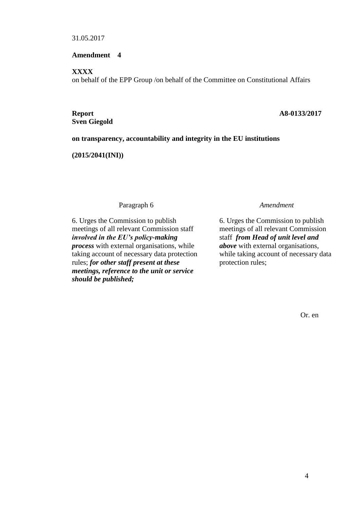#### **Amendment 4**

**XXXX**

on behalf of the EPP Group /on behalf of the Committee on Constitutional Affairs

**Sven Giegold**

#### **Report A8-0133/2017**

# **on transparency, accountability and integrity in the EU institutions**

**(2015/2041(INI))**

Paragraph 6 *Amendment*

6. Urges the Commission to publish meetings of all relevant Commission staff *involved in the EU's policy-making process* with external organisations, while taking account of necessary data protection rules; *for other staff present at these meetings, reference to the unit or service should be published;*

6. Urges the Commission to publish meetings of all relevant Commission staff *from Head of unit level and above* with external organisations, while taking account of necessary data protection rules;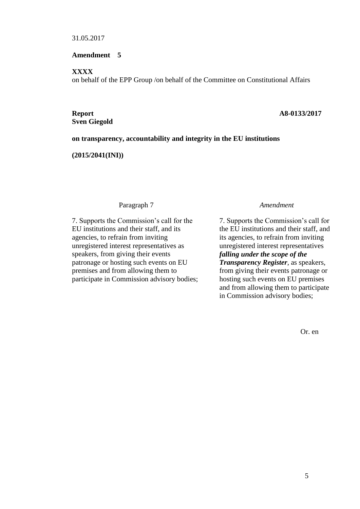#### **Amendment 5**

**XXXX**

on behalf of the EPP Group /on behalf of the Committee on Constitutional Affairs

**Sven Giegold**

#### **Report A8-0133/2017**

# **on transparency, accountability and integrity in the EU institutions**

**(2015/2041(INI))**

## Paragraph 7 *Amendment*

7. Supports the Commission's call for the EU institutions and their staff, and its agencies, to refrain from inviting unregistered interest representatives as speakers, from giving their events patronage or hosting such events on EU premises and from allowing them to participate in Commission advisory bodies;

7. Supports the Commission's call for the EU institutions and their staff, and its agencies, to refrain from inviting unregistered interest representatives *falling under the scope of the Transparency Register*, as speakers*,* from giving their events patronage or hosting such events on EU premises and from allowing them to participate in Commission advisory bodies;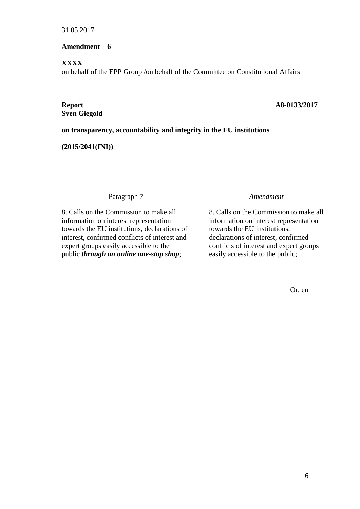# **Amendment 6**

# **XXXX**

on behalf of the EPP Group /on behalf of the Committee on Constitutional Affairs

**Sven Giegold**

# **Report A8-0133/2017**

# **on transparency, accountability and integrity in the EU institutions**

# **(2015/2041(INI))**

# Paragraph 7 *Amendment*

8. Calls on the Commission to make all information on interest representation towards the EU institutions, declarations of interest, confirmed conflicts of interest and expert groups easily accessible to the public *through an online one-stop shop*;

8. Calls on the Commission to make all information on interest representation towards the EU institutions, declarations of interest, confirmed conflicts of interest and expert groups easily accessible to the public;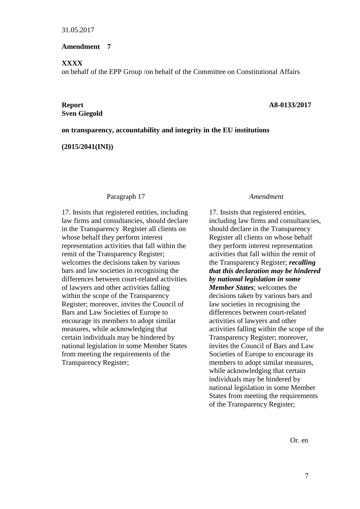## **Amendment 7**

## **XXXX**

on behalf of the EPP Group /on behalf of the Committee on Constitutional Affairs

# **Sven Giegold**

# **Report A8-0133/2017**

## **on transparency, accountability and integrity in the EU institutions**

**(2015/2041(INI))**

#### Paragraph 17 *Amendment*

17. Insists that registered entities, including law firms and consultancies, should declare in the Transparency Register all clients on whose behalf they perform interest representation activities that fall within the remit of the Transparency Register; welcomes the decisions taken by various bars and law societies in recognising the differences between court-related activities of lawyers and other activities falling within the scope of the Transparency Register; moreover, invites the Council of Bars and Law Societies of Europe to encourage its members to adopt similar measures, while acknowledging that certain individuals may be hindered by national legislation in some Member States from meeting the requirements of the Transparency Register;

17. Insists that registered entities, including law firms and consultancies, should declare in the Transparency Register all clients on whose behalf they perform interest representation activities that fall within the remit of the Transparency Register; *recalling that this declaration may be hindered by national legislation in some Member States*; welcomes the decisions taken by various bars and law societies in recognising the differences between court-related activities of lawyers and other activities falling within the scope of the Transparency Register; moreover, invites the Council of Bars and Law Societies of Europe to encourage its members to adopt similar measures, while acknowledging that certain individuals may be hindered by national legislation in some Member States from meeting the requirements of the Transparency Register;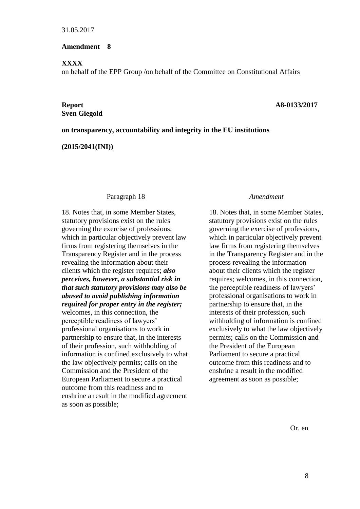## **Amendment 8**

## **XXXX**

on behalf of the EPP Group /on behalf of the Committee on Constitutional Affairs

# **Sven Giegold**

## **Report A8-0133/2017**

## **on transparency, accountability and integrity in the EU institutions**

**(2015/2041(INI))**

#### Paragraph 18 *Amendment*

18. Notes that, in some Member States, statutory provisions exist on the rules governing the exercise of professions, which in particular objectively prevent law firms from registering themselves in the Transparency Register and in the process revealing the information about their clients which the register requires; *also perceives, however, a substantial risk in that such statutory provisions may also be abused to avoid publishing information required for proper entry in the register;* welcomes, in this connection, the perceptible readiness of lawyers' professional organisations to work in partnership to ensure that, in the interests of their profession, such withholding of information is confined exclusively to what the law objectively permits; calls on the Commission and the President of the European Parliament to secure a practical outcome from this readiness and to enshrine a result in the modified agreement as soon as possible;

18. Notes that, in some Member States, statutory provisions exist on the rules governing the exercise of professions, which in particular objectively prevent law firms from registering themselves in the Transparency Register and in the process revealing the information about their clients which the register requires; welcomes, in this connection, the perceptible readiness of lawyers' professional organisations to work in partnership to ensure that, in the interests of their profession, such withholding of information is confined exclusively to what the law objectively permits; calls on the Commission and the President of the European Parliament to secure a practical outcome from this readiness and to enshrine a result in the modified agreement as soon as possible;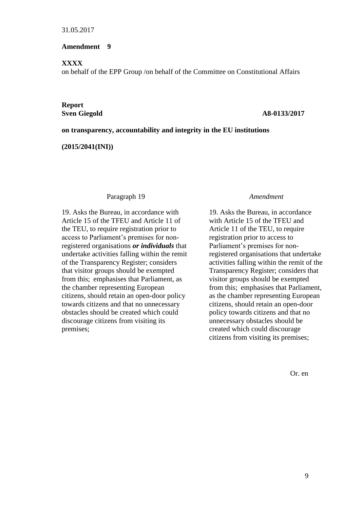## **Amendment 9**

## **XXXX**

on behalf of the EPP Group /on behalf of the Committee on Constitutional Affairs

# **Report**

#### **Sven Giegold A8-0133/2017**

## **on transparency, accountability and integrity in the EU institutions**

**(2015/2041(INI))**

#### Paragraph 19 *Amendment*

19. Asks the Bureau, in accordance with Article 15 of the TFEU and Article 11 of the TEU, to require registration prior to access to Parliament's premises for nonregistered organisations *or individuals* that undertake activities falling within the remit of the Transparency Register; considers that visitor groups should be exempted from this; emphasises that Parliament, as the chamber representing European citizens, should retain an open-door policy towards citizens and that no unnecessary obstacles should be created which could discourage citizens from visiting its premises;

19. Asks the Bureau, in accordance with Article 15 of the TFEU and Article 11 of the TEU, to require registration prior to access to Parliament's premises for nonregistered organisations that undertake activities falling within the remit of the Transparency Register; considers that visitor groups should be exempted from this; emphasises that Parliament, as the chamber representing European citizens, should retain an open-door policy towards citizens and that no unnecessary obstacles should be created which could discourage citizens from visiting its premises;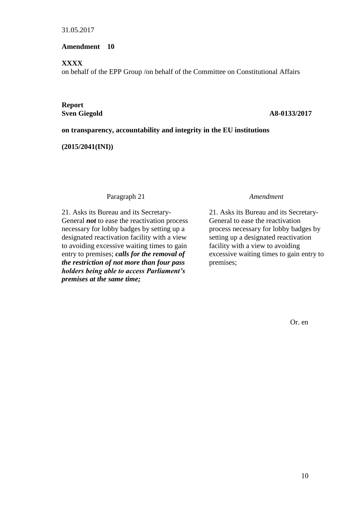# **Amendment 10**

## **XXXX**

on behalf of the EPP Group /on behalf of the Committee on Constitutional Affairs

# **Report**

## **Sven Giegold A8-0133/2017**

# **on transparency, accountability and integrity in the EU institutions**

# **(2015/2041(INI))**

# Paragraph 21 *Amendment*

21. Asks its Bureau and its Secretary-General *not* to ease the reactivation process necessary for lobby badges by setting up a designated reactivation facility with a view to avoiding excessive waiting times to gain entry to premises; *calls for the removal of the restriction of not more than four pass holders being able to access Parliament's premises at the same time;*

21. Asks its Bureau and its Secretary-General to ease the reactivation process necessary for lobby badges by setting up a designated reactivation facility with a view to avoiding excessive waiting times to gain entry to premises;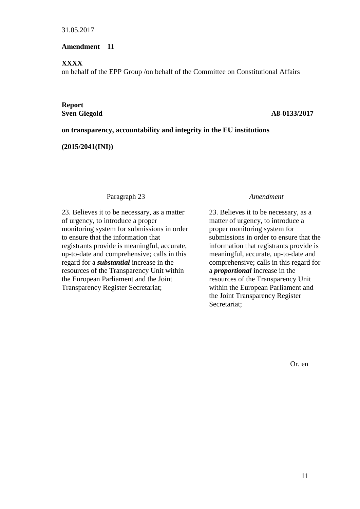# **Amendment 11**

## **XXXX**

on behalf of the EPP Group /on behalf of the Committee on Constitutional Affairs

# **Report**

# **Sven Giegold A8-0133/2017**

# **on transparency, accountability and integrity in the EU institutions**

# **(2015/2041(INI))**

# Paragraph 23 *Amendment*

23. Believes it to be necessary, as a matter of urgency, to introduce a proper monitoring system for submissions in order to ensure that the information that registrants provide is meaningful, accurate, up-to-date and comprehensive; calls in this regard for a *substantial* increase in the resources of the Transparency Unit within the European Parliament and the Joint Transparency Register Secretariat;

23. Believes it to be necessary, as a matter of urgency, to introduce a proper monitoring system for submissions in order to ensure that the information that registrants provide is meaningful, accurate, up-to-date and comprehensive; calls in this regard for a *proportional* increase in the resources of the Transparency Unit within the European Parliament and the Joint Transparency Register Secretariat;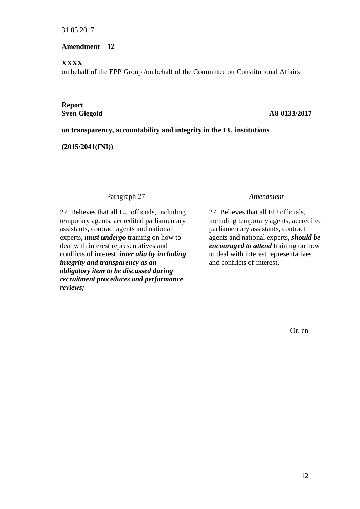# **Amendment 12**

# **XXXX**

on behalf of the EPP Group /on behalf of the Committee on Constitutional Affairs

# **Report**

# **Sven Giegold A8-0133/2017**

# **on transparency, accountability and integrity in the EU institutions**

# **(2015/2041(INI))**

# Paragraph 27 *Amendment*

27. Believes that all EU officials, including temporary agents, accredited parliamentary assistants, contract agents and national experts, *must undergo* training on how to deal with interest representatives and conflicts of interest, *inter alia by including integrity and transparency as an obligatory item to be discussed during recruitment procedures and performance reviews;*

27. Believes that all EU officials, including temporary agents, accredited parliamentary assistants, contract agents and national experts, *should be encouraged to attend* training on how to deal with interest representatives and conflicts of interest,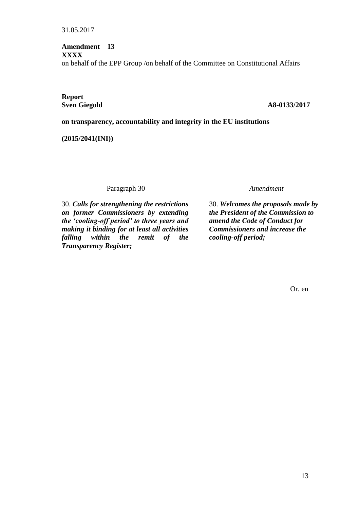# **Amendment 13 XXXX** on behalf of the EPP Group /on behalf of the Committee on Constitutional Affairs

**Report**

# **Sven Giegold A8-0133/2017**

# **on transparency, accountability and integrity in the EU institutions**

**(2015/2041(INI))**

Paragraph 30 *Amendment*

30. *Calls for strengthening the restrictions on former Commissioners by extending the 'cooling-off period' to three years and making it binding for at least all activities falling within the remit of the Transparency Register;*

30. *Welcomes the proposals made by the President of the Commission to amend the Code of Conduct for Commissioners and increase the cooling-off period;*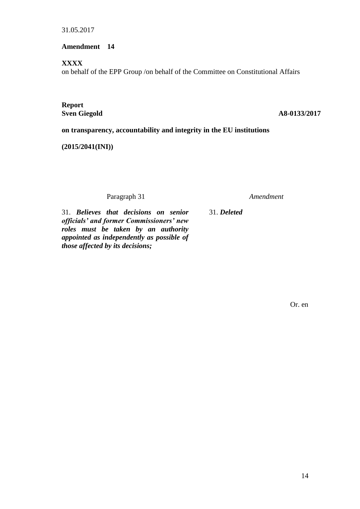**Amendment 14**

**XXXX**

on behalf of the EPP Group /on behalf of the Committee on Constitutional Affairs

**Report**

**Sven Giegold A8-0133/2017** 

**on transparency, accountability and integrity in the EU institutions**

**(2015/2041(INI))**

Paragraph 31 *Amendment*

31. *Believes that decisions on senior officials' and former Commissioners' new roles must be taken by an authority appointed as independently as possible of those affected by its decisions;*

31. *Deleted*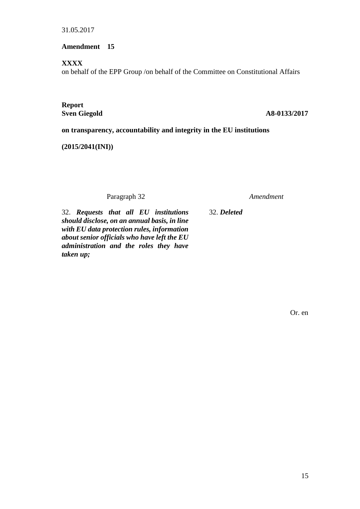**Amendment 15**

**XXXX**

on behalf of the EPP Group /on behalf of the Committee on Constitutional Affairs

**Report**

**Sven Giegold A8-0133/2017** 

**on transparency, accountability and integrity in the EU institutions**

**(2015/2041(INI))**

Paragraph 32 *Amendment*

32. *Requests that all EU institutions should disclose, on an annual basis, in line with EU data protection rules, information about senior officials who have left the EU administration and the roles they have taken up;*

32. *Deleted*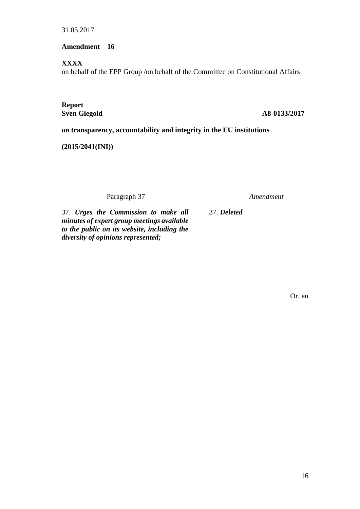**Amendment 16**

**XXXX**

on behalf of the EPP Group /on behalf of the Committee on Constitutional Affairs

**Report**

**Sven Giegold A8-0133/2017** 

**on transparency, accountability and integrity in the EU institutions**

**(2015/2041(INI))**

Paragraph 37 *Amendment*

37. *Deleted*

37. *Urges the Commission to make all minutes of expert group meetings available to the public on its website, including the diversity of opinions represented;*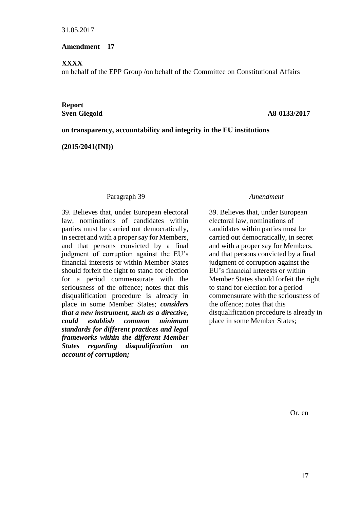# **Amendment 17**

## **XXXX**

on behalf of the EPP Group /on behalf of the Committee on Constitutional Affairs

# **Report**

## **Sven Giegold A8-0133/2017**

# **on transparency, accountability and integrity in the EU institutions**

**(2015/2041(INI))**

# Paragraph 39 *Amendment*

39. Believes that, under European electoral law, nominations of candidates within parties must be carried out democratically, in secret and with a proper say for Members, and that persons convicted by a final judgment of corruption against the EU's financial interests or within Member States should forfeit the right to stand for election for a period commensurate with the seriousness of the offence; notes that this disqualification procedure is already in place in some Member States; *considers that a new instrument, such as a directive, could establish common minimum standards for different practices and legal frameworks within the different Member States regarding disqualification on account of corruption;*

39. Believes that, under European electoral law, nominations of candidates within parties must be carried out democratically, in secret and with a proper say for Members, and that persons convicted by a final judgment of corruption against the EU's financial interests or within Member States should forfeit the right to stand for election for a period commensurate with the seriousness of the offence; notes that this disqualification procedure is already in place in some Member States;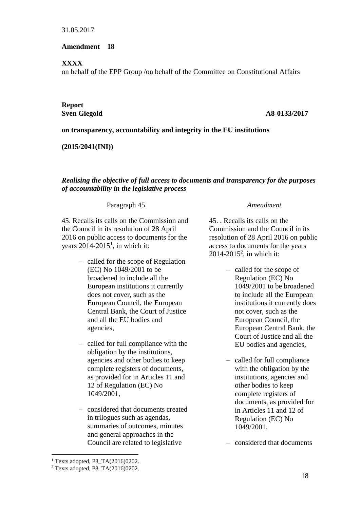# **Amendment 18**

# **XXXX**

on behalf of the EPP Group /on behalf of the Committee on Constitutional Affairs

# **Report**

# **Sven Giegold A8-0133/2017**

# **on transparency, accountability and integrity in the EU institutions**

**(2015/2041(INI))**

# *Realising the objective of full access to documents and transparency for the purposes of accountability in the legislative process*

# Paragraph 45 *Amendment*

45. Recalls its calls on the Commission and the Council in its resolution of 28 April 2016 on public access to documents for the years  $2014 - 2015$ <sup>1</sup>, in which it:

- called for the scope of Regulation (EC) No 1049/2001 to be broadened to include all the European institutions it currently does not cover, such as the European Council, the European Central Bank, the Court of Justice and all the EU bodies and agencies,
- called for full compliance with the obligation by the institutions, agencies and other bodies to keep complete registers of documents, as provided for in Articles 11 and 12 of Regulation (EC) No 1049/2001,
- considered that documents created in trilogues such as agendas, summaries of outcomes, minutes and general approaches in the Council are related to legislative

45. . Recalls its calls on the Commission and the Council in its resolution of 28 April 2016 on public access to documents for the years 2014-2015<sup>2</sup>, in which it:

- called for the scope of Regulation (EC) No 1049/2001 to be broadened to include all the European institutions it currently does not cover, such as the European Council, the European Central Bank, the Court of Justice and all the EU bodies and agencies,
- called for full compliance with the obligation by the institutions, agencies and other bodies to keep complete registers of documents, as provided for in Articles 11 and 12 of Regulation (EC) No 1049/2001,

– considered that documents

1

<sup>&</sup>lt;sup>1</sup> Texts adopted, P8\_TA $(2016)0202$ .

<sup>2</sup> Texts adopted, P8\_TA(2016)0202.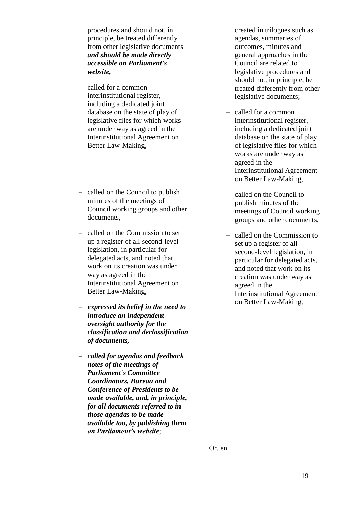procedures and should not, in principle, be treated differently from other legislative documents *and should be made directly accessible on Parliament's website,*

- called for a common interinstitutional register, including a dedicated joint database on the state of play of legislative files for which works are under way as agreed in the Interinstitutional Agreement on Better Law-Making,
- called on the Council to publish minutes of the meetings of Council working groups and other documents,
- called on the Commission to set up a register of all second-level legislation, in particular for delegated acts, and noted that work on its creation was under way as agreed in the Interinstitutional Agreement on Better Law-Making,
- *expressed its belief in the need to introduce an independent oversight authority for the classification and declassification of documents,*
- *– called for agendas and feedback notes of the meetings of Parliament's Committee Coordinators, Bureau and Conference of Presidents to be made available, and, in principle, for all documents referred to in those agendas to be made available too, by publishing them on Parliament's website*;

created in trilogues such as agendas, summaries of outcomes, minutes and general approaches in the Council are related to legislative procedures and should not, in principle, be treated differently from other legislative documents;

- called for a common interinstitutional register, including a dedicated joint database on the state of play of legislative files for which works are under way as agreed in the Interinstitutional Agreement on Better Law-Making,
- called on the Council to publish minutes of the meetings of Council working groups and other documents,
- called on the Commission to set up a register of all second-level legislation, in particular for delegated acts, and noted that work on its creation was under way as agreed in the Interinstitutional Agreement on Better Law-Making,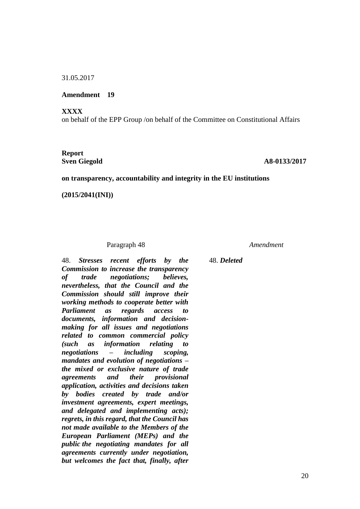**Amendment 19**

**XXXX**

on behalf of the EPP Group /on behalf of the Committee on Constitutional Affairs

# **Report**

**Sven Giegold A8-0133/2017** 

#### **on transparency, accountability and integrity in the EU institutions**

**(2015/2041(INI))**

#### Paragraph 48 *Amendment*

48. *Stresses recent efforts by the Commission to increase the transparency of trade negotiations; believes, nevertheless, that the Council and the Commission should still improve their working methods to cooperate better with Parliament as regards access to documents, information and decisionmaking for all issues and negotiations related to common commercial policy (such as information relating to negotiations – including scoping, mandates and evolution of negotiations – the mixed or exclusive nature of trade agreements and their provisional application, activities and decisions taken by bodies created by trade and/or investment agreements, expert meetings, and delegated and implementing acts); regrets, in this regard, that the Council has not made available to the Members of the European Parliament (MEPs) and the public the negotiating mandates for all agreements currently under negotiation, but welcomes the fact that, finally, after* 

48. *Deleted*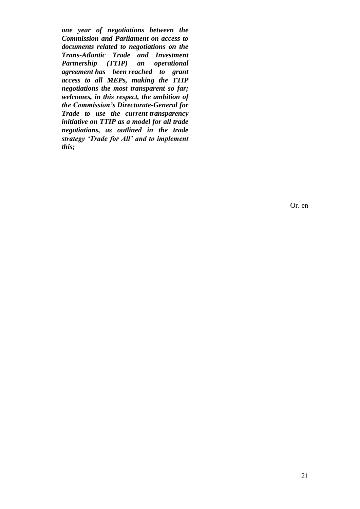*one year of negotiations between the Commission and Parliament on access to documents related to negotiations on the Trans-Atlantic Trade and Investment Partnership (TTIP) an operational agreement has been reached to grant access to all MEPs, making the TTIP negotiations the most transparent so far; welcomes, in this respect, the ambition of the Commission's Directorate-General for Trade to use the current transparency initiative on TTIP as a model for all trade negotiations, as outlined in the trade strategy 'Trade for All' and to implement this;*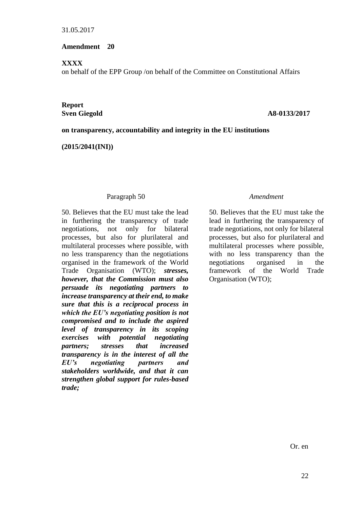## **Amendment 20**

## **XXXX**

on behalf of the EPP Group /on behalf of the Committee on Constitutional Affairs

# **Report**

# **Sven Giegold A8-0133/2017**

# **on transparency, accountability and integrity in the EU institutions**

**(2015/2041(INI))**

# Paragraph 50 *Amendment*

50. Believes that the EU must take the lead in furthering the transparency of trade negotiations, not only for bilateral processes, but also for plurilateral and multilateral processes where possible, with no less transparency than the negotiations organised in the framework of the World Trade Organisation (WTO); *stresses, however, that the Commission must also persuade its negotiating partners to increase transparency at their end, to make sure that this is a reciprocal process in which the EU's negotiating position is not compromised and to include the aspired level of transparency in its scoping exercises with potential negotiating partners; stresses that increased transparency is in the interest of all the EU's negotiating partners and stakeholders worldwide, and that it can strengthen global support for rules-based trade;*

50. Believes that the EU must take the lead in furthering the transparency of trade negotiations, not only for bilateral processes, but also for plurilateral and multilateral processes where possible, with no less transparency than the negotiations organised in the framework of the World Trade Organisation (WTO);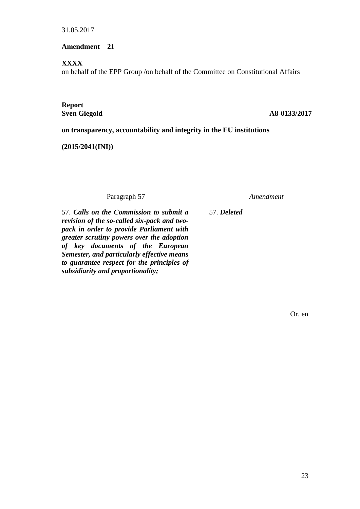**Amendment 21**

**XXXX**

on behalf of the EPP Group /on behalf of the Committee on Constitutional Affairs

**Report**

**Sven Giegold A8-0133/2017** 

**on transparency, accountability and integrity in the EU institutions**

**(2015/2041(INI))**

Paragraph 57 *Amendment*

57. *Calls on the Commission to submit a revision of the so-called six-pack and twopack in order to provide Parliament with greater scrutiny powers over the adoption of key documents of the European Semester, and particularly effective means to guarantee respect for the principles of subsidiarity and proportionality;*

57. *Deleted*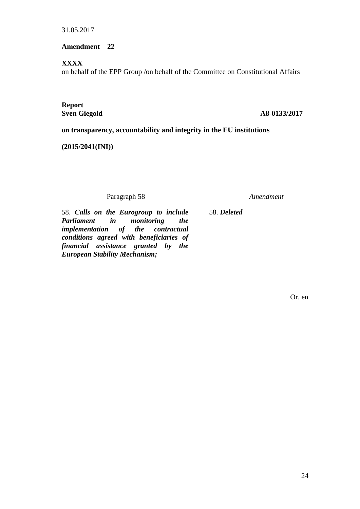# **Amendment 22**

# **XXXX**

on behalf of the EPP Group /on behalf of the Committee on Constitutional Affairs

**Report**

**Sven Giegold A8-0133/2017** 

**on transparency, accountability and integrity in the EU institutions**

**(2015/2041(INI))**

Paragraph 58 *Amendment*

58. *Deleted*

58. *Calls on the Eurogroup to include Parliament in monitoring the implementation of the contractual conditions agreed with beneficiaries of financial assistance granted by the European Stability Mechanism;*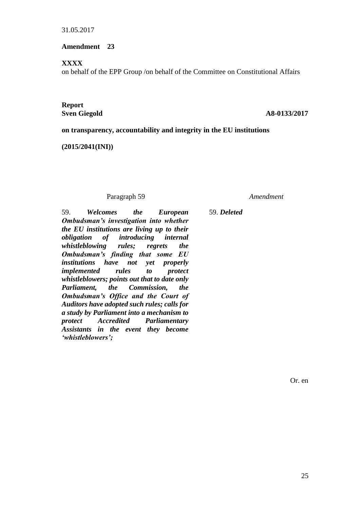**Amendment 23**

# **XXXX**

on behalf of the EPP Group /on behalf of the Committee on Constitutional Affairs

# **Report**

# **Sven Giegold A8-0133/2017**

**on transparency, accountability and integrity in the EU institutions**

**(2015/2041(INI))**

# Paragraph 59 *Amendment*

59. *Welcomes the European Ombudsman's investigation into whether the EU institutions are living up to their obligation of introducing internal whistleblowing rules; regrets the Ombudsman's finding that some EU institutions have not yet properly implemented rules to protect whistleblowers; points out that to date only Parliament, the Commission, the Ombudsman's Office and the Court of Auditors have adopted such rules; calls for a study by Parliament into a mechanism to protect Accredited Parliamentary Assistants in the event they become 'whistleblowers';*

59. *Deleted*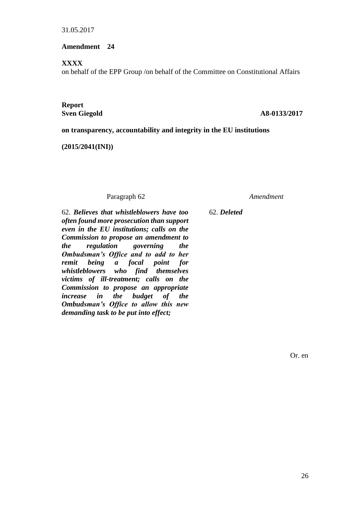# **Amendment 24**

### **XXXX**

on behalf of the EPP Group /on behalf of the Committee on Constitutional Affairs

# **Report**

## **Sven Giegold A8-0133/2017**

# **on transparency, accountability and integrity in the EU institutions**

**(2015/2041(INI))**

# Paragraph 62 *Amendment*

62. *Believes that whistleblowers have too often found more prosecution than support even in the EU institutions; calls on the Commission to propose an amendment to the regulation governing the Ombudsman's Office and to add to her remit being a focal point for whistleblowers who find themselves victims of ill-treatment; calls on the Commission to propose an appropriate increase in the budget of the Ombudsman's Office to allow this new demanding task to be put into effect;*

62. *Deleted*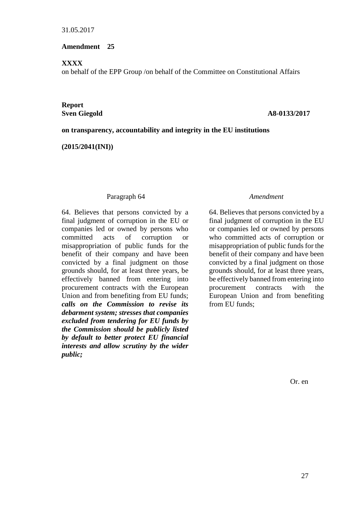# **Amendment 25**

# **XXXX**

on behalf of the EPP Group /on behalf of the Committee on Constitutional Affairs

# **Report**

# **Sven Giegold A8-0133/2017**

# **on transparency, accountability and integrity in the EU institutions**

**(2015/2041(INI))**

# Paragraph 64 *Amendment*

64. Believes that persons convicted by a final judgment of corruption in the EU or companies led or owned by persons who committed acts of corruption or misappropriation of public funds for the benefit of their company and have been convicted by a final judgment on those grounds should, for at least three years, be effectively banned from entering into procurement contracts with the European Union and from benefiting from EU funds; *calls on the Commission to revise its debarment system; stresses that companies excluded from tendering for EU funds by the Commission should be publicly listed by default to better protect EU financial interests and allow scrutiny by the wider public;*

64. Believes that persons convicted by a final judgment of corruption in the EU or companies led or owned by persons who committed acts of corruption or misappropriation of public funds for the benefit of their company and have been convicted by a final judgment on those grounds should, for at least three years, be effectively banned from entering into procurement contracts with the European Union and from benefiting from EU funds;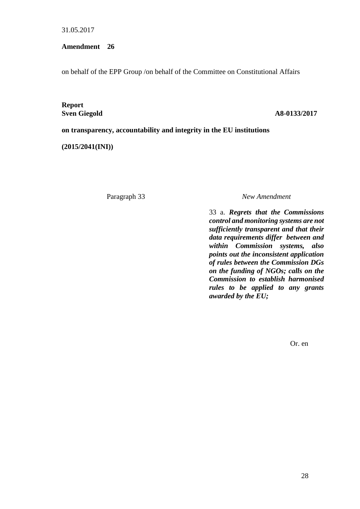**Amendment 26**

on behalf of the EPP Group /on behalf of the Committee on Constitutional Affairs

**Report**

#### **Sven Giegold A8-0133/2017**

**on transparency, accountability and integrity in the EU institutions**

**(2015/2041(INI))**

Paragraph 33 *New Amendment*

33 a. *Regrets that the Commissions control and monitoring systems are not sufficiently transparent and that their data requirements differ between and within Commission systems, also points out the inconsistent application of rules between the Commission DGs on the funding of NGOs; calls on the Commission to establish harmonised rules to be applied to any grants awarded by the EU;*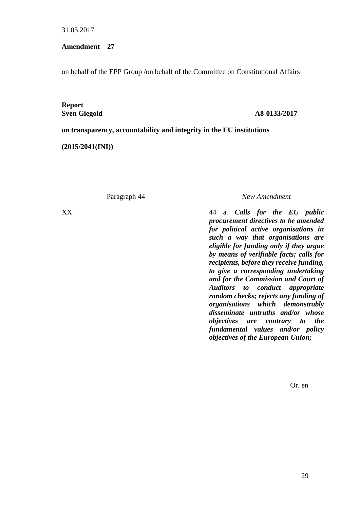**Amendment 27**

on behalf of the EPP Group /on behalf of the Committee on Constitutional Affairs

**Report**

#### **Sven Giegold A8-0133/2017**

**on transparency, accountability and integrity in the EU institutions**

**(2015/2041(INI))**

Paragraph 44 *New Amendment*

XX. 44 a. *Calls for the EU public procurement directives to be amended for political active organisations in such a way that organisations are eligible for funding only if they argue by means of verifiable facts; calls for recipients, before they receive funding, to give a corresponding undertaking and for the Commission and Court of Auditors to conduct appropriate random checks; rejects any funding of organisations which demonstrably disseminate untruths and/or whose objectives are contrary to the fundamental values and/or policy objectives of the European Union;*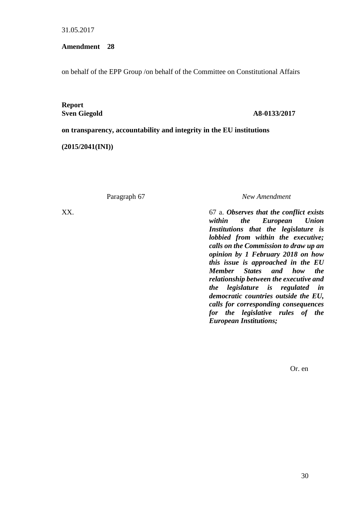**Amendment 28**

on behalf of the EPP Group /on behalf of the Committee on Constitutional Affairs

**Report**

#### **Sven Giegold A8-0133/2017**

**on transparency, accountability and integrity in the EU institutions**

**(2015/2041(INI))**

Paragraph 67 *New Amendment*

XX. 67 a. *Observes that the conflict exists within the European Union Institutions that the legislature is lobbied from within the executive; calls on the Commission to draw up an opinion by 1 February 2018 on how this issue is approached in the EU Member States and how the relationship between the executive and the legislature is regulated in democratic countries outside the EU, calls for corresponding consequences for the legislative rules of the European Institutions;*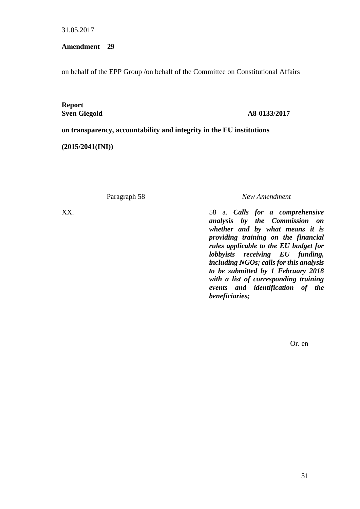**Amendment 29**

on behalf of the EPP Group /on behalf of the Committee on Constitutional Affairs

**Report**

#### **Sven Giegold A8-0133/2017**

**on transparency, accountability and integrity in the EU institutions**

**(2015/2041(INI))**

Paragraph 58 *New Amendment*

XX. 58 a. *Calls for a comprehensive analysis by the Commission on whether and by what means it is providing training on the financial rules applicable to the EU budget for lobbyists receiving EU funding, including NGOs; calls for this analysis to be submitted by 1 February 2018 with a list of corresponding training events and identification of the beneficiaries;*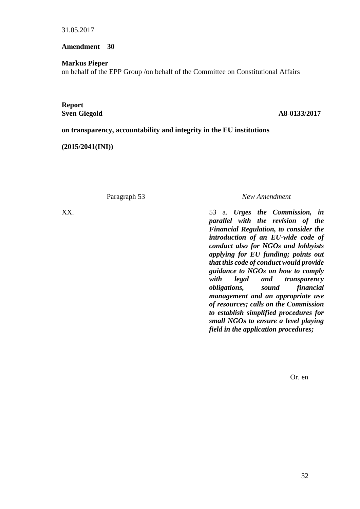**Amendment 30**

**Markus Pieper**

on behalf of the EPP Group /on behalf of the Committee on Constitutional Affairs

**Report**

**Sven Giegold A8-0133/2017** 

**on transparency, accountability and integrity in the EU institutions**

**(2015/2041(INI))**

Paragraph 53 *New Amendment*

XX. 53 a. *Urges the Commission, in parallel with the revision of the Financial Regulation, to consider the introduction of an EU-wide code of conduct also for NGOs and lobbyists applying for EU funding; points out that this code of conduct would provide guidance to NGOs on how to comply with legal and transparency obligations, sound financial management and an appropriate use of resources; calls on the Commission to establish simplified procedures for small NGOs to ensure a level playing field in the application procedures;*